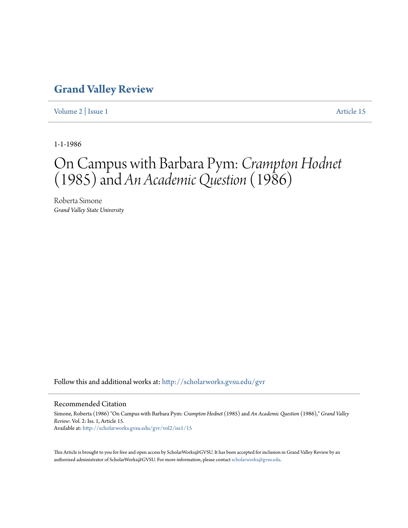## **[Grand Valley Review](http://scholarworks.gvsu.edu/gvr?utm_source=scholarworks.gvsu.edu%2Fgvr%2Fvol2%2Fiss1%2F15&utm_medium=PDF&utm_campaign=PDFCoverPages)**

[Volume 2](http://scholarworks.gvsu.edu/gvr/vol2?utm_source=scholarworks.gvsu.edu%2Fgvr%2Fvol2%2Fiss1%2F15&utm_medium=PDF&utm_campaign=PDFCoverPages) | [Issue 1](http://scholarworks.gvsu.edu/gvr/vol2/iss1?utm_source=scholarworks.gvsu.edu%2Fgvr%2Fvol2%2Fiss1%2F15&utm_medium=PDF&utm_campaign=PDFCoverPages) [Article 15](http://scholarworks.gvsu.edu/gvr/vol2/iss1/15?utm_source=scholarworks.gvsu.edu%2Fgvr%2Fvol2%2Fiss1%2F15&utm_medium=PDF&utm_campaign=PDFCoverPages)

1-1-1986

## On Campus with Barbara Pym: *Crampton Hodnet* (1985) and *An Academic Question* (1986)

Roberta Simone *Grand Valley State University*

Follow this and additional works at: [http://scholarworks.gvsu.edu/gvr](http://scholarworks.gvsu.edu/gvr?utm_source=scholarworks.gvsu.edu%2Fgvr%2Fvol2%2Fiss1%2F15&utm_medium=PDF&utm_campaign=PDFCoverPages)

## Recommended Citation

Simone, Roberta (1986) "On Campus with Barbara Pym: *Crampton Hodnet* (1985) and *An Academic Question* (1986)," *Grand Valley Review*: Vol. 2: Iss. 1, Article 15. Available at: [http://scholarworks.gvsu.edu/gvr/vol2/iss1/15](http://scholarworks.gvsu.edu/gvr/vol2/iss1/15?utm_source=scholarworks.gvsu.edu%2Fgvr%2Fvol2%2Fiss1%2F15&utm_medium=PDF&utm_campaign=PDFCoverPages)

This Article is brought to you for free and open access by ScholarWorks@GVSU. It has been accepted for inclusion in Grand Valley Review by an authorized administrator of ScholarWorks@GVSU. For more information, please contact [scholarworks@gvsu.edu.](mailto:scholarworks@gvsu.edu)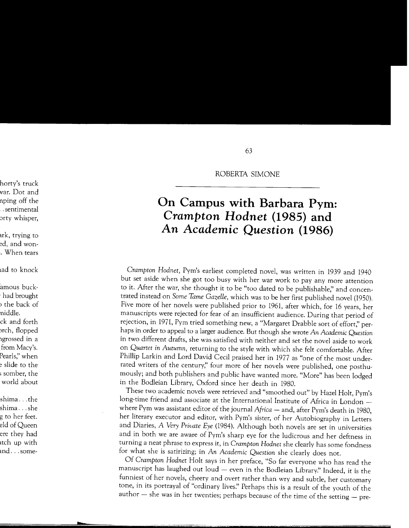ROBERTA SIMONE

## **On Campus with Barbara Pym:**  *Crampton Hodnet* **(1985) and**  *An Academic Question* **(1986)**

*Crampton Hodnet,* Pym's earliest completed novel, was written in 1939 and 1940 but set aside when she got too busy with her war work to pay any more attention to it. After the war, she thought it to be "too dated to be publishable;' and concentrated instead on *Some Tame Gazelle,* which was to be her first published novel (1950). Five more of her novels were published prior to 1961, after which, for 16 years, her manuscripts were rejected for fear of an insufficient audience. During that period of rejection, in 1971, Pym tried something new, a "Margaret Drabble sort of effort;' perhaps in order to appeal to a larger audience. But though she wrote An *Academic Question*  in two different drafts, she was satisfied with neither and set the novel aside to work on *Quartet* in *Autumn,* returning to the style with which she felt comfortable. After Phillip Larkin and Lord David Cecil praised her in 1977 as "one of the most underrated writers of the century;' four more of her novels were published, one posthumously; and both publishers and public have wanted more. "More" has been lodged in the Bodleian Library, Oxford since her death in 1980.

These two academic novels were retrieved and "smoothed out" by Hazel Holt, Pym's long-time friend and associate at the International Institute of Africa in London where Pym was assistant editor of the journal *Africa* - and, after Pym's death in 1980, her literary executor and editor, with Pym's sister, of her Autobiography in Letters and Diaries, *A Very Private Eye* (1984). Although both novels are set in universities and in both we are aware of Pym's sharp eye for the ludicrous and her deftness in turning a neat phrase to express it, in *Crampton Hodnet* she clearly has some fondness for what she is satirizing; in *An Academic Question* she clearly does not.

Of *Crampton Hodnet* Holt says in her preface, "So far everyone who has read the manuscript has laughed out  $l$ oud  $-$  even in the Bodleian Library." Indeed, it is the funniest of her novels, cheery and overt rather than wry and subtle, her customary tone, in its portrayal of "ordinary lives!' Perhaps this is a result of the youth of the author  $-$  she was in her twenties; perhaps because of the time of the setting  $-$  pre-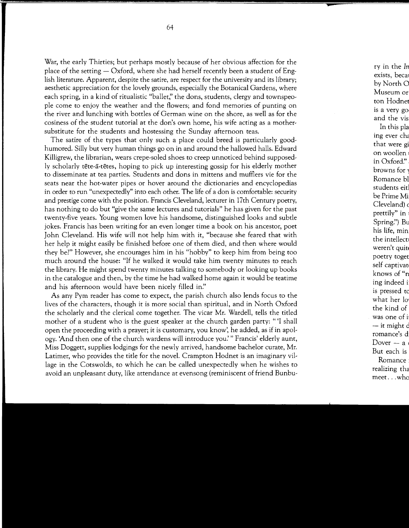War, the early Thirties; but perhaps mostly because of her obvious affection for the place of the setting  $-$  Oxford, where she had herself recently been a student of English literature. Apparent, despite the satire, are respect for the university and its library; aesthetic appreciation for the lovely grounds, especially the Botanical Gardens, where each spring, in a kind of ritualistic "ballet;' the dons, students, clergy and townspeople come to enjoy the weather and the flowers; and fond memories of punting on the river and lunching with bottles of German wine on the shore, as well as for the cosiness of the student tutorial at the dan's own home, his wife acting as a mothersubstitute for the students and hostessing the Sunday afternoon teas.

The satire of the types that only such a place could breed is particularly goodhumored. Silly but very human things go on in and around the hallowed halls. Edward Killigrew, the librarian, wears crepe-soled shoes to creep unnoticed behind supposedly scholarly tete-a-tetes, hoping to pick up interesting gossip for his elderly mother to disseminate at tea parties. Students and dons in mittens and mufflers vie for the seats near the hot-water pipes or hover around the dictionaries and encyclopedias in order to run "unexpectedly" into each other. The life of a don is comfortable: security and prestige come with the position. Francis Cleveland, lecturer in 17th Century poetry, has nothing to do but "give the same lectures and tutorials" he has given for the past twenty-five years. Young women love his handsome, distinguished looks and subtle jokes. Francis has been writing for an even longer time a book on his ancestor, poet John Cleveland. His wife will not help him with it, "because she feared that with her help it might easily be finished before one of them died, and then where would they be?" However, she encourages him in his "hobby" to keep him from being too much around the house: "If he walked it would take him twenty minutes to reach the library. He might spend twenty minutes talking to somebody or looking up books in the catalogue and then, by the time he had walked home again it would be teatime and his afternoon would have been nicely filled in."

As any Pym reader has come to expect, the parish church also lends focus to the lives of the characters, though it is more social than spiritual, and in North Oxford the scholarly and the clerical come together. The vicar Mr. Wardell, tells the titled mother of a student who is the guest speaker at the church garden party: "'I shall open the proceeding with a prayer; it is customary, you know', he added, as if in apology. 'And then one of the church wardens will introduce *you:"* Francis' elderly aunt, Miss Doggett, supplies lodgings for the newly arrived, handsome bachelor curate, Mr. Latimer, who provides the title for the novel. Crampton Hodnet is an imaginary village in the Cotswolds, to which he can be called unexpectedly when he wishes to avoid an unpleasant duty, like attendance at evensong (reminiscent of friend Bunbu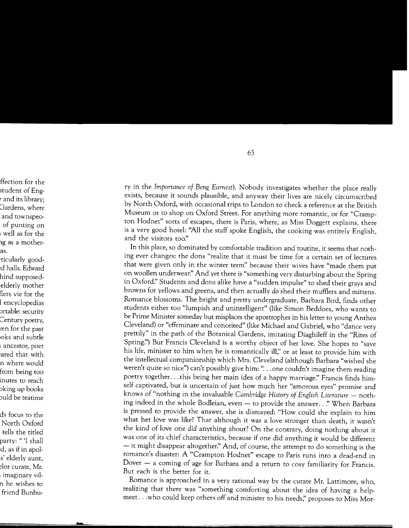ry in the *Importance of Beng Earnest).* Nobody investigates whether the place really exists, because it sounds plausible, and anyway their lives are nicely circumscribed by North Oxford, with occasional trips to London to check a reference at the British Museum or to shop on Oxford Street. For anything more romantic, or for "Crampton Hodnet" sorts of escapes, there is Paris, where, as Miss Doggett explains, there is a very good hotel: "All the staff spoke English, the cooking was entirely English, and the visitors *too:'* 

In this place, so dominated by comfortable tradition and routine, it seems that nothing ever changes: the dons "realize that it must be time for a certain set of lectures that were given only in the winter term" because their wives have "made them put on woollen underwear:' And yet there is "something very disturbing about the Spring in Oxford:' Students and dons alike have a "sudden impulse" to shed their grays and browns for yellows and greens, and then actually *do* shed their mufflers and mittens. Romance blossoms. The bright and pretty undergraduate, Barbara Bird, finds other students either too "lumpish and unintelligent" (like Simon Beddoes, who wants to be Prime Minister someday but misplaces the apostrophes in his letter to young Anthea Cleveland) or "effeminate and conceited" (like Michael and Gabriel, who "dance very prettily" in the path of the Botanical Gardens, imitating Diaghileff in the "Rites of Spring:') But Francis Cleveland is a worthy object of her love. She hopes to "save his life, minister to him when he is romantically ill;' or at least to provide him with the intellectual companionship which Mrs. Cleveland (although Barbara "wished she weren't quite so nice") can't possibly give him: "... one couldn't imagine them reading poetry together... this being her main idea of a happy marriage." Francis finds himself captivated, but is uncertain of just how much her "amorous eyes" promise and knows of "nothing in the invaluable *Cambridge History of English Literature* - nothing indeed in the whole Bodleian, even - to provide the answer. . ." When Barbara is pressed to provide the answer, she is dismayed: "How could she explain to him what her love was like? That although it was a love stronger than death, it wasn't the kind of love one *did* anything about? On the contrary, doing nothing about it was one of its chief characteristics, because if one did anything it would be different  $-$  it might disappear altogether." And, of course, the attempt to do something is the romance's disaster: A "Crampton Hodnet" escape to Paris runs into a dead-end in Dover - a coming of age for Barbara and a return to cosy familiarity for Francis. But each is the better for it.

Romance is approached in a very rational way by the curate Mr. Lattimore, who, realizing that there was "something comforting about the idea of having a helpmeet ... who could keep others off and minister to his needs;' proposes to Miss Mor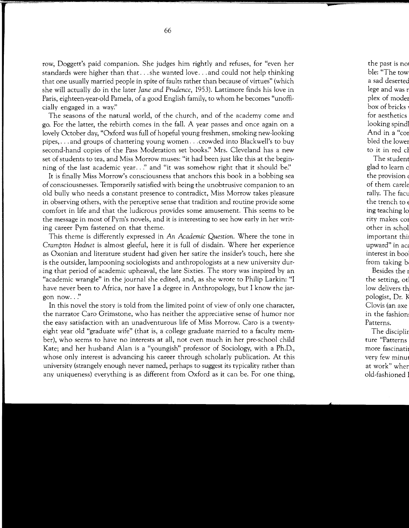row, Doggett's paid companion. She judges him rightly and refuses, for "even her standards were higher than that ... she wanted love ... and could not help thinking that one usually married people in spite of faults rather than because of virtues" (which she will actually do in the later *Jane and Prudence,* 1953). Lattimore finds his love in Paris, eighteen-year-old Pamela, of a good English family, to whom he becomes "unofficially engaged in a way:'

The seasons of the natural world, of the church, and of the academy come and go. For the latter, the rebirth comes in the fall. A year passes and once again on a lovely October day, "Oxford was full of hopeful young freshmen, smoking new-looking pipes, ... and groups of chattering young women ... crowded into Blackwell's to buy second-hand copies of the Pass Moderation set books:' Mrs. Cleveland has a new set of students to tea, and Miss Morrow muses: "it had been just like this at the beginning of the last academic year .. *!'* and "it was somehow right that it should *be:'* 

It is finally Miss Morrow's consciousness that anchors this book in a bobbing sea of consciousnesses. Temporarily satisfied with being the unobtrusive companion to an old bully who needs a constant presence to contradict, Miss Morrow takes pleasure in observing others, with the perceptive sense that tradition and routine provide some comfort in life and that the ludicrous provides some amusement. This seems to be the message in most of Pym's novels, and it is interesting to see how early in her writing career Pym fastened on that theme.

This theme is differently expressed in *An Academic Question.* Where the tone in *Crampton Hodnet* is almost gleeful, here it is full of disdain. Where her experience as Oxonian and literature student had given her satire the insider's touch, here she is the outsider, lampooning sociologists and anthropologists at a new university during that period of academic upheaval, the late Sixties. The story was inspired by an "academic wrangle" in the journal she edited, and, as she wrote to Philip Larkin: "I have never been to Africa, nor have I a degree in Anthropology, but I know the jargon now..."

In this novel the story is told from the limited point of view of only one character, the narrator Caro Grimstone, who has neither the appreciative sense of humor nor the easy satisfaction with an unadventurous life of Miss Morrow. Caro is a twentyeight year old "graduate wife" (that is, a college graduate married to a faculty member), who seems to have no interests at all, not even much in her pre-school child Kate; and her husband Alan is a "youngish" professor of Sociology, with a **Ph.D.,**  whose only interest is advancing his career through scholarly publication. At this university (strangely enough never named, perhaps to suggest its typicality rather than any uniqueness) everything is as different from Oxford as it can be. For one thing,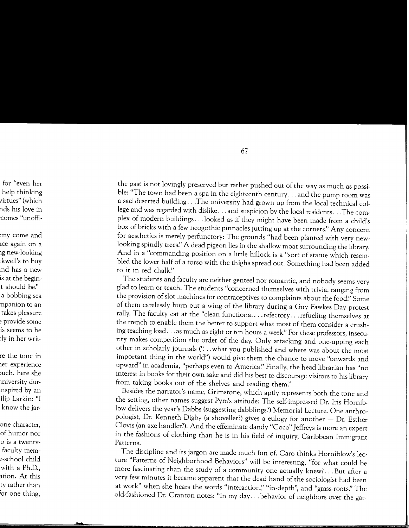the past is not lovingly preserved but rather pushed out of the way as much as possible: "The town had been a spa in the eighteenth century ... and the pump room was a sad deserted building ... The university had grown up from the local technical college and was regarded with dislike ... and suspicion by the local residents ... The complex of modern buildings ... looked as if they might have been made from a child's box of bricks with a few neogothic pinnacles jutting up at the corners." Any concern for aesthetics is merely perfunctory: The grounds "had been planted with very newlooking spindly trees:' A dead pigeon lies in the shallow moat surrounding the library. And in a "commanding position on a little hillock is a "sort of statue which resembled the lower half of a torso with the thighs spread out. Something had been added to it in red chalk."

The students and faculty are neither genteel nor romantic, and nobody seems very glad to learn or teach. The students "concerned themselves with trivia, ranging from the provision of slot machines for contraceptives to complaints about the food:' Some of them carelessly burn out a wing of the library during a Guy Fawkes Day protest rally. The faculty eat at the "clean functional ... refectory ... refueling themselves at the trench to enable them the better to support what most of them consider a crushing teaching load . . . as much as eight or ten hours a week." For these professors, insecurity makes competition the order of the day. Only attacking and one-upping each other in scholarly journals (" ... what you published and where was about the most important thing in the world") would give them the chance to move "onwards and upward" in academia, "perhaps even to America." Finally, the head librarian has "no interest in books for their own sake and did his best to discourage visitors to his library from taking books out of the shelves and reading them:'

Besides the narrator's name, Grimstone, which aptly represents both the tone and the setting, other names suggest Pym's attitude: The self-impressed Dr. Iris Horniblow delivers the year's Dabbs (suggesting dabblings?) Memorial Lecture. One anthropologist, Dr. Kenneth Digby (a shoveller?) gives a eulogy for another - Dr. Esther Clovis (an axe handler?). And the effeminate dandy "Coco" Jeffreys is more an expert in the fashions of clothing than he is in his field of inquiry, Caribbean Immigrant Patterns.

The discipline and its jargon are made much fun of. Caro thinks Horniblow's lecture "Patterns of Neighborhood Behaviors" will be interesting, "for what could be more fascinating than the study of a community one actually knew? ... But after a very few minutes it became apparent that the dead hand of the sociologist had been at work" when she hears the words "interaction;' "in-depth", and "grass-roots:' The old-fashioned Dr. Cranton notes: "In my day ... behavior of neighbors over the gar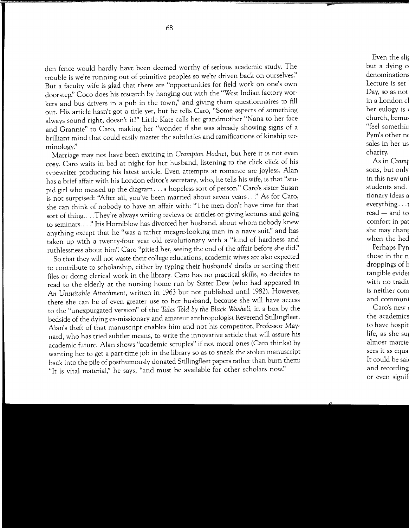den fence would hardly have been deemed worthy of serious academic study. The trouble is we're running out of primitive peoples so we're driven back on ourselves:' But a faculty wife is glad that there are "opportunities for field work on one's own doorstep:' Coco does his research by hanging out with the "West Indian factory workers and bus drivers in a pub in the town;' and giving them questionnaires to fill out. His article hasn't got a title yet, but he tells Caro, "Some aspects of something always sound right, doesn't it?" Little Kate calls her grandmother "Nana to her face and Grannie" to Caro, making her "wonder if she was already showing signs of a brilliant mind that could easily master the subtleties and ramifications of kinship terminology:'

Marriage may not have been exciting in *Crampton Hodnet,* but here it is not even cosy. Caro waits in bed at night for her husband, listening to the click click of his typewriter producing his latest article. Even attempts at romance are joyless. Alan has a brief affair with his London editor's secretary, who, he tells his wife, is that "stupid girl who messed up the diagram ... a hopeless sort of person:' Caro's sister Susan is not surprised: "After all, you've been married about seven years .. *:'* As for Caro, she can think of nobody to have an affair with: "The men don't have time for that sort of thing... .They're always writing reviews or articles or giving lectures and going to seminars ... *!'* Iris Horniblow has divorced her husband, about whom nobody knew anything except that he "was a rather meagre-looking man in a navy suit;' and has taken up with a twenty-four year old revolutionary with a "kind of hardness and ruthlessness about him". Caro "pitied her, seeing the end of the affair before she did."

So that they will not waste their college educations, academic wives are also expected to contribute to scholarship, either by typing their husbands' drafts or sorting their files or doing clerical work in the library. Caro has no practical skills, so decides to read to the elderly at the nursing home run by Sister Dew (who had appeared in *An Unsuitable Attachment,* written in 1963 but not published until 1982). However, there she can be of even greater use to her husband, because she will have access to the "unexpurgated version" of the *Tales Told by the Black Washeli,* in a box by the bedside of the dying ex-missionary and amateur anthropologist Reverend Stillingfleet. Alan's theft of that manuscript enables him and not his competitor, Professor Maynard, who has tried subtler means, to write the innovative article that will assure his academic future. Alan shows "academic scruples" if not moral ones (Caro thinks) by wanting her to get a part-time job in the library so as to sneak the stolen manuscript back into the pile of posthumously donated Stillingfleet papers rather than burn them: "It is vital material;' he says, "and must be available for other scholars now:'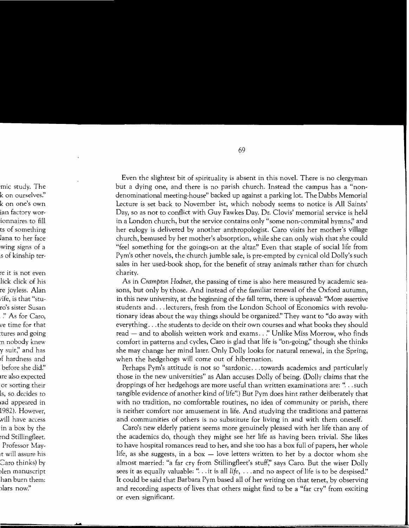Even the slightest bit of spirituality is absent in this novel. There is no clergyman but a dying one, and there is no parish church. Instead the campus has a "nondenominational meeting-house" backed up against a parking lot. The Dabbs Memorial Lecture is set back to November 1st, which nobody seems to notice is All Saints' Day, so as not to conflict with Guy Fawkes Day. Dr. Clovis' memorial service is held in a London church, but the service contains only "some non-commital hymns;' and her eulogy is delivered by another anthropologist. Caro visits her mother's village church, bemused by her mother's absorption, while she can only wish that she could "feel something for the goings-on at the altar:' Even that staple of social life from Pym's other novels, the church jumble sale, is pre-empted by cynical old Dolly's such sales in her used-book shop, for the benefit of stray animals rather than for church charity.

As in *Crampton Hodnet,* the passing of time is also here measured by academic seasons, but only by those. And instead of the familiar renewal of the Oxford autumn, in this new university, at the beginning of the fall term, there is upheaval: "More assertive students and ... lecturers, fresh from the London School of Economics with revolutionary ideas about the way things should be organized!' They want to "do away with everything ... the students to decide on their own courses and what books they should read - and to abolish written work and exams..." Unlike Miss Morrow, who finds comfort in patterns and cycles, Caro is glad that life is "on-going;' though she thinks she may change her mind later. Only Dolly looks for natural renewal, in the Spring, when the hedgehogs will come out of hibernation.

Perhaps Pym's attitude is not so "sardonic ... towards academics and particularly those in the new universities" as Alan accuses Dolly of being. (Dolly claims that the droppings of her hedgehogs are more useful than written examinations are: " ... such tangible evidence of another kind of life".) But Pym does hint rather deliberately that with no tradition, no comfortable routines, no idea of community or parish, there is neither comfort nor amusement in life. And studying the traditions and patterns and communities of others is no substitute for living in and with them oneself.

Caro's new elderly patient seems more genuinely pleased with her life than any of the academics do, though they might see her life as having been trivial. She likes to have hospital romances read to her, and she too has a box full of papers, her whole life, as she suggests, in a box  $-$  love letters written to her by a doctor whom she almost married: "a far cry from Stillingfleet's stuff;' says Caro. But the wiser Dolly sees it as equally valuable: "... it is all *life*, ... and no aspect of life is to be despised." It could be said that Barbara Pym based all of her writing on that tenet, by observing and recording aspects of lives that others might find to be a "far cry" from exciting or even significant.